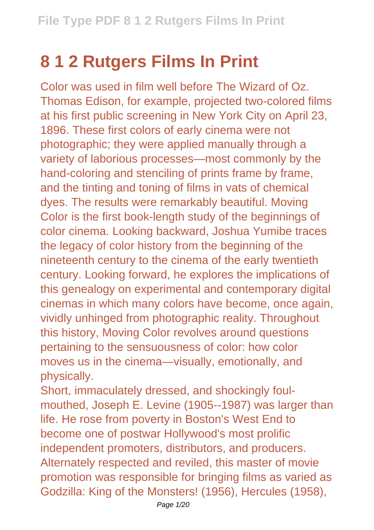## **8 1 2 Rutgers Films In Print**

Color was used in film well before The Wizard of Oz. Thomas Edison, for example, projected two-colored films at his first public screening in New York City on April 23, 1896. These first colors of early cinema were not photographic; they were applied manually through a variety of laborious processes—most commonly by the hand-coloring and stenciling of prints frame by frame, and the tinting and toning of films in vats of chemical dyes. The results were remarkably beautiful. Moving Color is the first book-length study of the beginnings of color cinema. Looking backward, Joshua Yumibe traces the legacy of color history from the beginning of the nineteenth century to the cinema of the early twentieth century. Looking forward, he explores the implications of this genealogy on experimental and contemporary digital cinemas in which many colors have become, once again, vividly unhinged from photographic reality. Throughout this history, Moving Color revolves around questions pertaining to the sensuousness of color: how color moves us in the cinema—visually, emotionally, and physically.

Short, immaculately dressed, and shockingly foulmouthed, Joseph E. Levine (1905--1987) was larger than life. He rose from poverty in Boston's West End to become one of postwar Hollywood's most prolific independent promoters, distributors, and producers. Alternately respected and reviled, this master of movie promotion was responsible for bringing films as varied as Godzilla: King of the Monsters! (1956), Hercules (1958),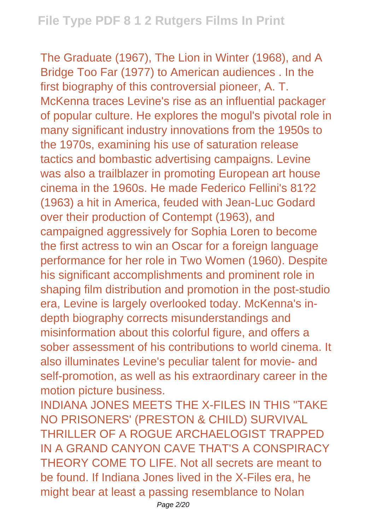The Graduate (1967), The Lion in Winter (1968), and A Bridge Too Far (1977) to American audiences . In the first biography of this controversial pioneer, A. T. McKenna traces Levine's rise as an influential packager of popular culture. He explores the mogul's pivotal role in many significant industry innovations from the 1950s to the 1970s, examining his use of saturation release tactics and bombastic advertising campaigns. Levine was also a trailblazer in promoting European art house cinema in the 1960s. He made Federico Fellini's 81?2 (1963) a hit in America, feuded with Jean-Luc Godard over their production of Contempt (1963), and campaigned aggressively for Sophia Loren to become the first actress to win an Oscar for a foreign language performance for her role in Two Women (1960). Despite his significant accomplishments and prominent role in shaping film distribution and promotion in the post-studio era, Levine is largely overlooked today. McKenna's indepth biography corrects misunderstandings and misinformation about this colorful figure, and offers a sober assessment of his contributions to world cinema. It also illuminates Levine's peculiar talent for movie- and self-promotion, as well as his extraordinary career in the motion picture business.

INDIANA JONES MEETS THE X-FILES IN THIS "TAKE NO PRISONERS' (PRESTON & CHILD) SURVIVAL THRILLER OF A ROGUE ARCHAEL OGIST TRAPPED IN A GRAND CANYON CAVE THAT'S A CONSPIRACY THEORY COME TO LIFE. Not all secrets are meant to be found. If Indiana Jones lived in the X-Files era, he might bear at least a passing resemblance to Nolan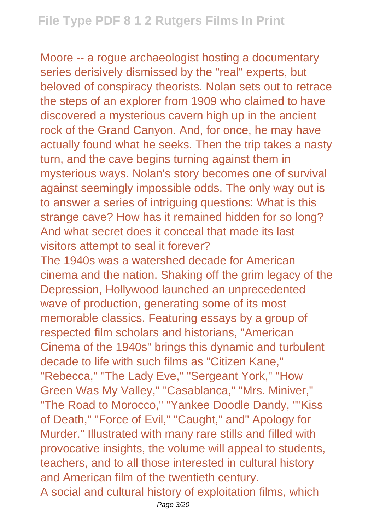Moore -- a rogue archaeologist hosting a documentary series derisively dismissed by the "real" experts, but beloved of conspiracy theorists. Nolan sets out to retrace the steps of an explorer from 1909 who claimed to have discovered a mysterious cavern high up in the ancient rock of the Grand Canyon. And, for once, he may have actually found what he seeks. Then the trip takes a nasty turn, and the cave begins turning against them in mysterious ways. Nolan's story becomes one of survival against seemingly impossible odds. The only way out is to answer a series of intriguing questions: What is this strange cave? How has it remained hidden for so long? And what secret does it conceal that made its last visitors attempt to seal it forever?

The 1940s was a watershed decade for American cinema and the nation. Shaking off the grim legacy of the Depression, Hollywood launched an unprecedented wave of production, generating some of its most memorable classics. Featuring essays by a group of respected film scholars and historians, "American Cinema of the 1940s" brings this dynamic and turbulent decade to life with such films as "Citizen Kane," "Rebecca," "The Lady Eve," "Sergeant York," "How Green Was My Valley," "Casablanca," "Mrs. Miniver," "The Road to Morocco," "Yankee Doodle Dandy, ""Kiss of Death," "Force of Evil," "Caught," and" Apology for Murder." Illustrated with many rare stills and filled with provocative insights, the volume will appeal to students, teachers, and to all those interested in cultural history and American film of the twentieth century. A social and cultural history of exploitation films, which Page 3/20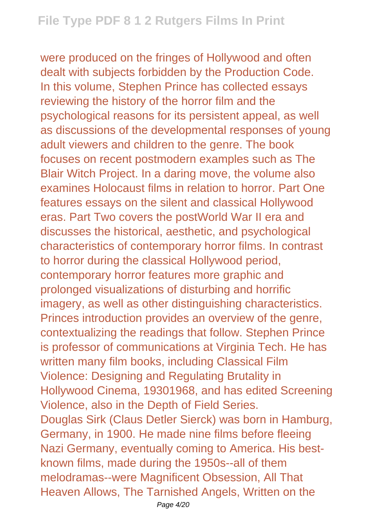were produced on the fringes of Hollywood and often dealt with subjects forbidden by the Production Code. In this volume, Stephen Prince has collected essays reviewing the history of the horror film and the psychological reasons for its persistent appeal, as well as discussions of the developmental responses of young adult viewers and children to the genre. The book focuses on recent postmodern examples such as The Blair Witch Project. In a daring move, the volume also examines Holocaust films in relation to horror. Part One features essays on the silent and classical Hollywood eras. Part Two covers the postWorld War II era and discusses the historical, aesthetic, and psychological characteristics of contemporary horror films. In contrast to horror during the classical Hollywood period, contemporary horror features more graphic and prolonged visualizations of disturbing and horrific imagery, as well as other distinguishing characteristics. Princes introduction provides an overview of the genre, contextualizing the readings that follow. Stephen Prince is professor of communications at Virginia Tech. He has written many film books, including Classical Film Violence: Designing and Regulating Brutality in Hollywood Cinema, 19301968, and has edited Screening Violence, also in the Depth of Field Series. Douglas Sirk (Claus Detler Sierck) was born in Hamburg, Germany, in 1900. He made nine films before fleeing Nazi Germany, eventually coming to America. His bestknown films, made during the 1950s--all of them melodramas--were Magnificent Obsession, All That Heaven Allows, The Tarnished Angels, Written on the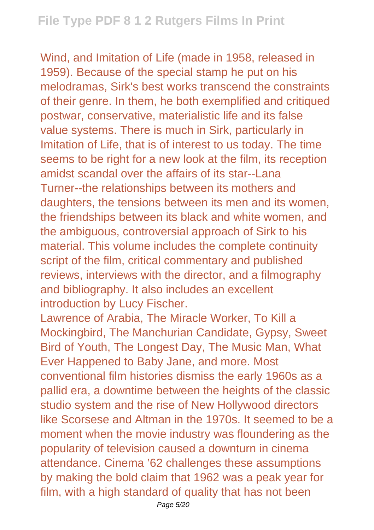Wind, and Imitation of Life (made in 1958, released in 1959). Because of the special stamp he put on his melodramas, Sirk's best works transcend the constraints of their genre. In them, he both exemplified and critiqued postwar, conservative, materialistic life and its false value systems. There is much in Sirk, particularly in Imitation of Life, that is of interest to us today. The time seems to be right for a new look at the film, its reception amidst scandal over the affairs of its star--Lana Turner--the relationships between its mothers and daughters, the tensions between its men and its women, the friendships between its black and white women, and the ambiguous, controversial approach of Sirk to his material. This volume includes the complete continuity script of the film, critical commentary and published reviews, interviews with the director, and a filmography and bibliography. It also includes an excellent introduction by Lucy Fischer.

Lawrence of Arabia, The Miracle Worker, To Kill a Mockingbird, The Manchurian Candidate, Gypsy, Sweet Bird of Youth, The Longest Day, The Music Man, What Ever Happened to Baby Jane, and more. Most conventional film histories dismiss the early 1960s as a pallid era, a downtime between the heights of the classic studio system and the rise of New Hollywood directors like Scorsese and Altman in the 1970s. It seemed to be a moment when the movie industry was floundering as the popularity of television caused a downturn in cinema attendance. Cinema '62 challenges these assumptions by making the bold claim that 1962 was a peak year for film, with a high standard of quality that has not been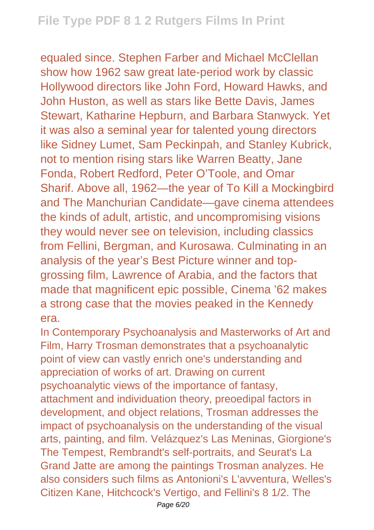equaled since. Stephen Farber and Michael McClellan show how 1962 saw great late-period work by classic Hollywood directors like John Ford, Howard Hawks, and John Huston, as well as stars like Bette Davis, James Stewart, Katharine Hepburn, and Barbara Stanwyck. Yet it was also a seminal year for talented young directors like Sidney Lumet, Sam Peckinpah, and Stanley Kubrick, not to mention rising stars like Warren Beatty, Jane Fonda, Robert Redford, Peter O'Toole, and Omar Sharif. Above all, 1962—the year of To Kill a Mockingbird and The Manchurian Candidate—gave cinema attendees the kinds of adult, artistic, and uncompromising visions they would never see on television, including classics from Fellini, Bergman, and Kurosawa. Culminating in an analysis of the year's Best Picture winner and topgrossing film, Lawrence of Arabia, and the factors that made that magnificent epic possible, Cinema '62 makes a strong case that the movies peaked in the Kennedy era.

In Contemporary Psychoanalysis and Masterworks of Art and Film, Harry Trosman demonstrates that a psychoanalytic point of view can vastly enrich one's understanding and appreciation of works of art. Drawing on current psychoanalytic views of the importance of fantasy, attachment and individuation theory, preoedipal factors in development, and object relations, Trosman addresses the impact of psychoanalysis on the understanding of the visual arts, painting, and film. Velázquez's Las Meninas, Giorgione's The Tempest, Rembrandt's self-portraits, and Seurat's La Grand Jatte are among the paintings Trosman analyzes. He also considers such films as Antonioni's L'avventura, Welles's Citizen Kane, Hitchcock's Vertigo, and Fellini's 8 1/2. The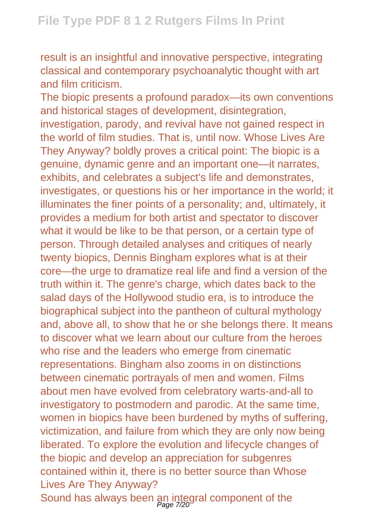result is an insightful and innovative perspective, integrating classical and contemporary psychoanalytic thought with art and film criticism.

The biopic presents a profound paradox—its own conventions and historical stages of development, disintegration, investigation, parody, and revival have not gained respect in the world of film studies. That is, until now. Whose Lives Are They Anyway? boldly proves a critical point: The biopic is a genuine, dynamic genre and an important one—it narrates, exhibits, and celebrates a subject's life and demonstrates, investigates, or questions his or her importance in the world; it illuminates the finer points of a personality; and, ultimately, it provides a medium for both artist and spectator to discover what it would be like to be that person, or a certain type of person. Through detailed analyses and critiques of nearly twenty biopics, Dennis Bingham explores what is at their core—the urge to dramatize real life and find a version of the truth within it. The genre's charge, which dates back to the salad days of the Hollywood studio era, is to introduce the biographical subject into the pantheon of cultural mythology and, above all, to show that he or she belongs there. It means to discover what we learn about our culture from the heroes who rise and the leaders who emerge from cinematic representations. Bingham also zooms in on distinctions between cinematic portrayals of men and women. Films about men have evolved from celebratory warts-and-all to investigatory to postmodern and parodic. At the same time, women in biopics have been burdened by myths of suffering, victimization, and failure from which they are only now being liberated. To explore the evolution and lifecycle changes of the biopic and develop an appreciation for subgenres contained within it, there is no better source than Whose Lives Are They Anyway? Sound has always been an integral component of the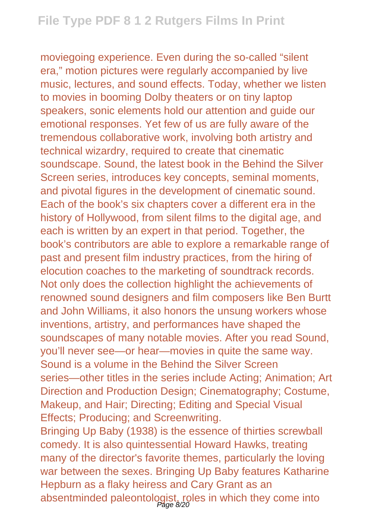moviegoing experience. Even during the so-called "silent era," motion pictures were regularly accompanied by live music, lectures, and sound effects. Today, whether we listen to movies in booming Dolby theaters or on tiny laptop speakers, sonic elements hold our attention and guide our emotional responses. Yet few of us are fully aware of the tremendous collaborative work, involving both artistry and technical wizardry, required to create that cinematic soundscape. Sound, the latest book in the Behind the Silver Screen series, introduces key concepts, seminal moments, and pivotal figures in the development of cinematic sound. Each of the book's six chapters cover a different era in the history of Hollywood, from silent films to the digital age, and each is written by an expert in that period. Together, the book's contributors are able to explore a remarkable range of past and present film industry practices, from the hiring of elocution coaches to the marketing of soundtrack records. Not only does the collection highlight the achievements of renowned sound designers and film composers like Ben Burtt and John Williams, it also honors the unsung workers whose inventions, artistry, and performances have shaped the soundscapes of many notable movies. After you read Sound, you'll never see—or hear—movies in quite the same way. Sound is a volume in the Behind the Silver Screen series—other titles in the series include Acting; Animation; Art Direction and Production Design; Cinematography; Costume, Makeup, and Hair; Directing; Editing and Special Visual Effects; Producing; and Screenwriting.

Bringing Up Baby (1938) is the essence of thirties screwball comedy. It is also quintessential Howard Hawks, treating many of the director's favorite themes, particularly the loving war between the sexes. Bringing Up Baby features Katharine Hepburn as a flaky heiress and Cary Grant as an absentminded paleontologist, roles in which they come into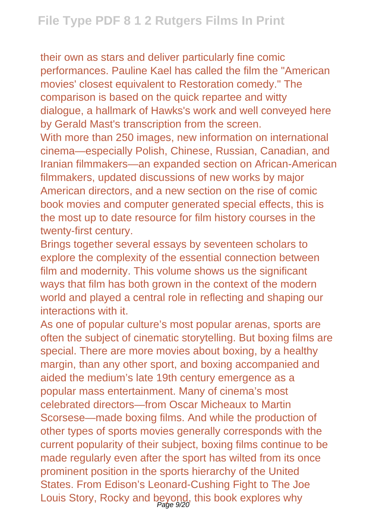their own as stars and deliver particularly fine comic performances. Pauline Kael has called the film the "American movies' closest equivalent to Restoration comedy." The comparison is based on the quick repartee and witty dialogue, a hallmark of Hawks's work and well conveyed here by Gerald Mast's transcription from the screen.

With more than 250 images, new information on international cinema—especially Polish, Chinese, Russian, Canadian, and Iranian filmmakers—an expanded section on African-American filmmakers, updated discussions of new works by major American directors, and a new section on the rise of comic book movies and computer generated special effects, this is the most up to date resource for film history courses in the twenty-first century.

Brings together several essays by seventeen scholars to explore the complexity of the essential connection between film and modernity. This volume shows us the significant ways that film has both grown in the context of the modern world and played a central role in reflecting and shaping our interactions with it.

As one of popular culture's most popular arenas, sports are often the subject of cinematic storytelling. But boxing films are special. There are more movies about boxing, by a healthy margin, than any other sport, and boxing accompanied and aided the medium's late 19th century emergence as a popular mass entertainment. Many of cinema's most celebrated directors—from Oscar Micheaux to Martin Scorsese—made boxing films. And while the production of other types of sports movies generally corresponds with the current popularity of their subject, boxing films continue to be made regularly even after the sport has wilted from its once prominent position in the sports hierarchy of the United States. From Edison's Leonard-Cushing Fight to The Joe Louis Story, Rocky and beyond, this book explores why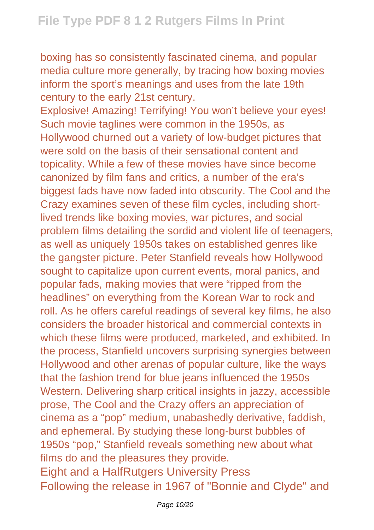boxing has so consistently fascinated cinema, and popular media culture more generally, by tracing how boxing movies inform the sport's meanings and uses from the late 19th century to the early 21st century.

Explosive! Amazing! Terrifying! You won't believe your eyes! Such movie taglines were common in the 1950s, as Hollywood churned out a variety of low-budget pictures that were sold on the basis of their sensational content and topicality. While a few of these movies have since become canonized by film fans and critics, a number of the era's biggest fads have now faded into obscurity. The Cool and the Crazy examines seven of these film cycles, including shortlived trends like boxing movies, war pictures, and social problem films detailing the sordid and violent life of teenagers, as well as uniquely 1950s takes on established genres like the gangster picture. Peter Stanfield reveals how Hollywood sought to capitalize upon current events, moral panics, and popular fads, making movies that were "ripped from the headlines" on everything from the Korean War to rock and roll. As he offers careful readings of several key films, he also considers the broader historical and commercial contexts in which these films were produced, marketed, and exhibited. In the process, Stanfield uncovers surprising synergies between Hollywood and other arenas of popular culture, like the ways that the fashion trend for blue jeans influenced the 1950s Western. Delivering sharp critical insights in jazzy, accessible prose, The Cool and the Crazy offers an appreciation of cinema as a "pop" medium, unabashedly derivative, faddish, and ephemeral. By studying these long-burst bubbles of 1950s "pop," Stanfield reveals something new about what films do and the pleasures they provide. Eight and a HalfRutgers University Press Following the release in 1967 of "Bonnie and Clyde" and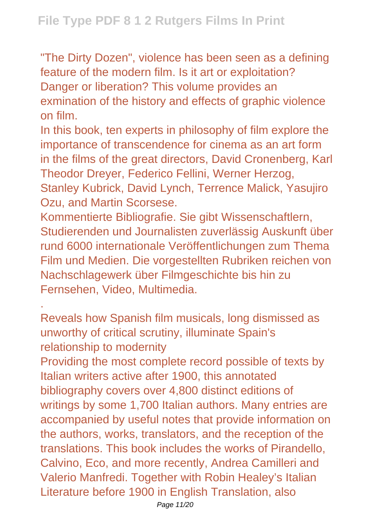"The Dirty Dozen", violence has been seen as a defining feature of the modern film. Is it art or exploitation? Danger or liberation? This volume provides an exmination of the history and effects of graphic violence on film.

In this book, ten experts in philosophy of film explore the importance of transcendence for cinema as an art form in the films of the great directors, David Cronenberg, Karl Theodor Dreyer, Federico Fellini, Werner Herzog, Stanley Kubrick, David Lynch, Terrence Malick, Yasujiro Ozu, and Martin Scorsese.

Kommentierte Bibliografie. Sie gibt Wissenschaftlern, Studierenden und Journalisten zuverlässig Auskunft über rund 6000 internationale Veröffentlichungen zum Thema Film und Medien. Die vorgestellten Rubriken reichen von Nachschlagewerk über Filmgeschichte bis hin zu Fernsehen, Video, Multimedia.

Reveals how Spanish film musicals, long dismissed as unworthy of critical scrutiny, illuminate Spain's relationship to modernity

.

Providing the most complete record possible of texts by Italian writers active after 1900, this annotated bibliography covers over 4,800 distinct editions of writings by some 1,700 Italian authors. Many entries are accompanied by useful notes that provide information on the authors, works, translators, and the reception of the translations. This book includes the works of Pirandello, Calvino, Eco, and more recently, Andrea Camilleri and Valerio Manfredi. Together with Robin Healey's Italian Literature before 1900 in English Translation, also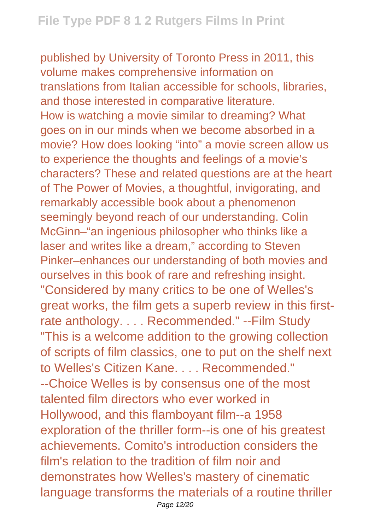published by University of Toronto Press in 2011, this volume makes comprehensive information on translations from Italian accessible for schools, libraries, and those interested in comparative literature. How is watching a movie similar to dreaming? What goes on in our minds when we become absorbed in a movie? How does looking "into" a movie screen allow us to experience the thoughts and feelings of a movie's characters? These and related questions are at the heart of The Power of Movies, a thoughtful, invigorating, and remarkably accessible book about a phenomenon seemingly beyond reach of our understanding. Colin McGinn–"an ingenious philosopher who thinks like a laser and writes like a dream," according to Steven Pinker–enhances our understanding of both movies and ourselves in this book of rare and refreshing insight. "Considered by many critics to be one of Welles's great works, the film gets a superb review in this firstrate anthology. . . . Recommended." --Film Study "This is a welcome addition to the growing collection of scripts of film classics, one to put on the shelf next to Welles's Citizen Kane. . . . Recommended." --Choice Welles is by consensus one of the most talented film directors who ever worked in Hollywood, and this flamboyant film--a 1958 exploration of the thriller form--is one of his greatest achievements. Comito's introduction considers the film's relation to the tradition of film noir and demonstrates how Welles's mastery of cinematic language transforms the materials of a routine thriller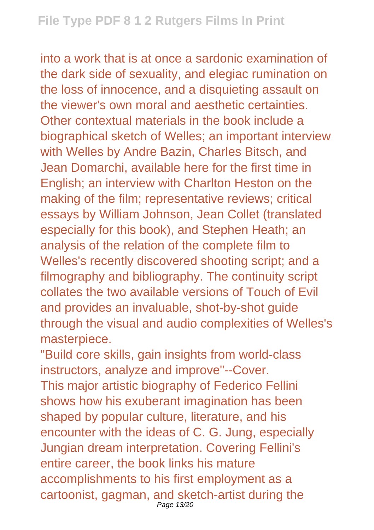into a work that is at once a sardonic examination of the dark side of sexuality, and elegiac rumination on the loss of innocence, and a disquieting assault on the viewer's own moral and aesthetic certainties. Other contextual materials in the book include a biographical sketch of Welles; an important interview with Welles by Andre Bazin, Charles Bitsch, and Jean Domarchi, available here for the first time in English; an interview with Charlton Heston on the making of the film; representative reviews; critical essays by William Johnson, Jean Collet (translated especially for this book), and Stephen Heath; an analysis of the relation of the complete film to Welles's recently discovered shooting script; and a filmography and bibliography. The continuity script collates the two available versions of Touch of Evil and provides an invaluable, shot-by-shot guide through the visual and audio complexities of Welles's masterpiece.

"Build core skills, gain insights from world-class instructors, analyze and improve"--Cover. This major artistic biography of Federico Fellini shows how his exuberant imagination has been shaped by popular culture, literature, and his encounter with the ideas of C. G. Jung, especially Jungian dream interpretation. Covering Fellini's entire career, the book links his mature accomplishments to his first employment as a cartoonist, gagman, and sketch-artist during the Page 13/20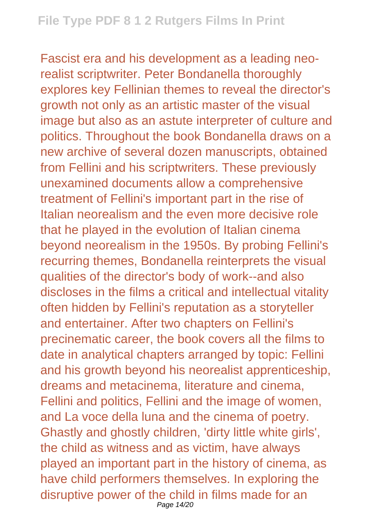Fascist era and his development as a leading neorealist scriptwriter. Peter Bondanella thoroughly explores key Fellinian themes to reveal the director's growth not only as an artistic master of the visual image but also as an astute interpreter of culture and politics. Throughout the book Bondanella draws on a new archive of several dozen manuscripts, obtained from Fellini and his scriptwriters. These previously unexamined documents allow a comprehensive treatment of Fellini's important part in the rise of Italian neorealism and the even more decisive role that he played in the evolution of Italian cinema beyond neorealism in the 1950s. By probing Fellini's recurring themes, Bondanella reinterprets the visual qualities of the director's body of work--and also discloses in the films a critical and intellectual vitality often hidden by Fellini's reputation as a storyteller and entertainer. After two chapters on Fellini's precinematic career, the book covers all the films to date in analytical chapters arranged by topic: Fellini and his growth beyond his neorealist apprenticeship, dreams and metacinema, literature and cinema, Fellini and politics, Fellini and the image of women, and La voce della luna and the cinema of poetry. Ghastly and ghostly children, 'dirty little white girls', the child as witness and as victim, have always played an important part in the history of cinema, as have child performers themselves. In exploring the disruptive power of the child in films made for an Page 14/20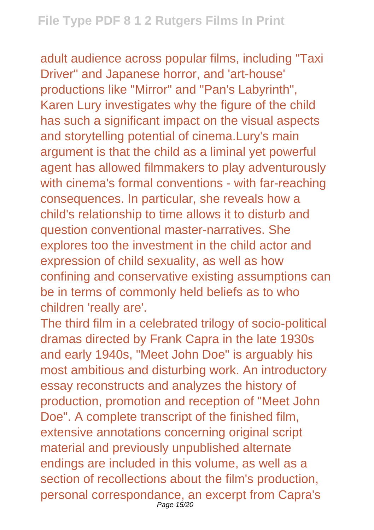adult audience across popular films, including "Taxi Driver" and Japanese horror, and 'art-house' productions like "Mirror" and "Pan's Labyrinth", Karen Lury investigates why the figure of the child has such a significant impact on the visual aspects and storytelling potential of cinema.Lury's main argument is that the child as a liminal yet powerful agent has allowed filmmakers to play adventurously with cinema's formal conventions - with far-reaching consequences. In particular, she reveals how a child's relationship to time allows it to disturb and question conventional master-narratives. She explores too the investment in the child actor and expression of child sexuality, as well as how confining and conservative existing assumptions can be in terms of commonly held beliefs as to who children 'really are'.

The third film in a celebrated trilogy of socio-political dramas directed by Frank Capra in the late 1930s and early 1940s, "Meet John Doe" is arguably his most ambitious and disturbing work. An introductory essay reconstructs and analyzes the history of production, promotion and reception of "Meet John Doe". A complete transcript of the finished film, extensive annotations concerning original script material and previously unpublished alternate endings are included in this volume, as well as a section of recollections about the film's production, personal correspondance, an excerpt from Capra's Page 15/20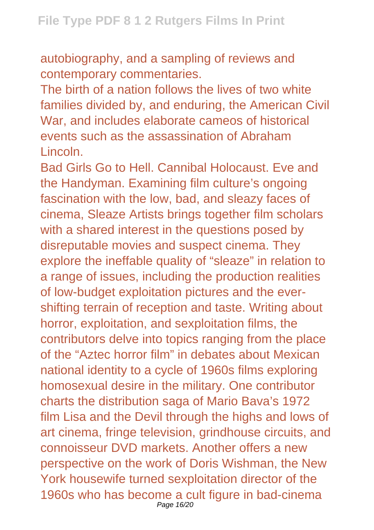autobiography, and a sampling of reviews and contemporary commentaries.

The birth of a nation follows the lives of two white families divided by, and enduring, the American Civil War, and includes elaborate cameos of historical events such as the assassination of Abraham Lincoln.

Bad Girls Go to Hell. Cannibal Holocaust. Eve and the Handyman. Examining film culture's ongoing fascination with the low, bad, and sleazy faces of cinema, Sleaze Artists brings together film scholars with a shared interest in the questions posed by disreputable movies and suspect cinema. They explore the ineffable quality of "sleaze" in relation to a range of issues, including the production realities of low-budget exploitation pictures and the evershifting terrain of reception and taste. Writing about horror, exploitation, and sexploitation films, the contributors delve into topics ranging from the place of the "Aztec horror film" in debates about Mexican national identity to a cycle of 1960s films exploring homosexual desire in the military. One contributor charts the distribution saga of Mario Bava's 1972 film Lisa and the Devil through the highs and lows of art cinema, fringe television, grindhouse circuits, and connoisseur DVD markets. Another offers a new perspective on the work of Doris Wishman, the New York housewife turned sexploitation director of the 1960s who has become a cult figure in bad-cinema Page 16/20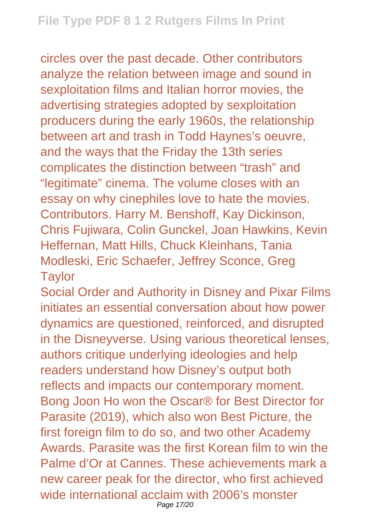circles over the past decade. Other contributors analyze the relation between image and sound in sexploitation films and Italian horror movies, the advertising strategies adopted by sexploitation producers during the early 1960s, the relationship between art and trash in Todd Haynes's oeuvre, and the ways that the Friday the 13th series complicates the distinction between "trash" and "legitimate" cinema. The volume closes with an essay on why cinephiles love to hate the movies. Contributors. Harry M. Benshoff, Kay Dickinson, Chris Fujiwara, Colin Gunckel, Joan Hawkins, Kevin Heffernan, Matt Hills, Chuck Kleinhans, Tania Modleski, Eric Schaefer, Jeffrey Sconce, Greg **Taylor** 

Social Order and Authority in Disney and Pixar Films initiates an essential conversation about how power dynamics are questioned, reinforced, and disrupted in the Disneyverse. Using various theoretical lenses, authors critique underlying ideologies and help readers understand how Disney's output both reflects and impacts our contemporary moment. Bong Joon Ho won the Oscar® for Best Director for Parasite (2019), which also won Best Picture, the first foreign film to do so, and two other Academy Awards. Parasite was the first Korean film to win the Palme d'Or at Cannes. These achievements mark a new career peak for the director, who first achieved wide international acclaim with 2006's monster Page 17/20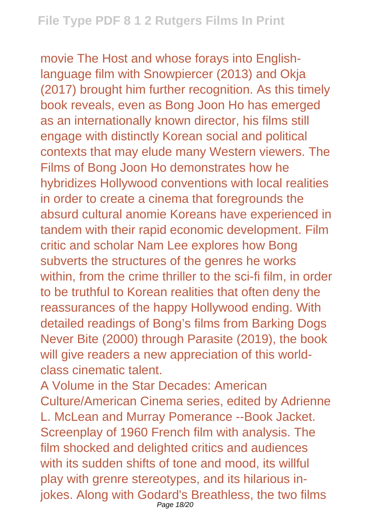movie The Host and whose forays into Englishlanguage film with Snowpiercer (2013) and Okja (2017) brought him further recognition. As this timely book reveals, even as Bong Joon Ho has emerged as an internationally known director, his films still engage with distinctly Korean social and political contexts that may elude many Western viewers. The Films of Bong Joon Ho demonstrates how he hybridizes Hollywood conventions with local realities in order to create a cinema that foregrounds the absurd cultural anomie Koreans have experienced in tandem with their rapid economic development. Film critic and scholar Nam Lee explores how Bong subverts the structures of the genres he works within, from the crime thriller to the sci-fi film, in order to be truthful to Korean realities that often deny the reassurances of the happy Hollywood ending. With detailed readings of Bong's films from Barking Dogs Never Bite (2000) through Parasite (2019), the book will give readers a new appreciation of this worldclass cinematic talent.

A Volume in the Star Decades: American Culture/American Cinema series, edited by Adrienne L. McLean and Murray Pomerance --Book Jacket. Screenplay of 1960 French film with analysis. The film shocked and delighted critics and audiences with its sudden shifts of tone and mood, its willful play with grenre stereotypes, and its hilarious injokes. Along with Godard's Breathless, the two films Page 18/20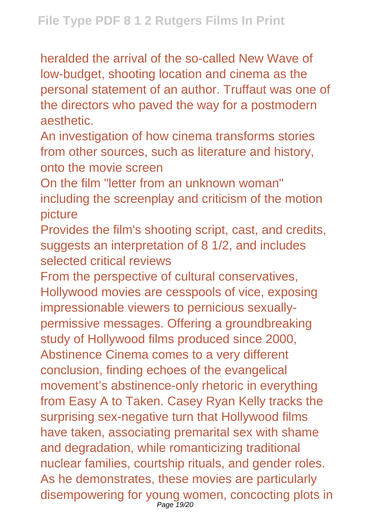heralded the arrival of the so-called New Wave of low-budget, shooting location and cinema as the personal statement of an author. Truffaut was one of the directors who paved the way for a postmodern aesthetic.

An investigation of how cinema transforms stories from other sources, such as literature and history, onto the movie screen

On the film "letter from an unknown woman" including the screenplay and criticism of the motion picture

Provides the film's shooting script, cast, and credits, suggests an interpretation of 8 1/2, and includes selected critical reviews

From the perspective of cultural conservatives, Hollywood movies are cesspools of vice, exposing impressionable viewers to pernicious sexuallypermissive messages. Offering a groundbreaking study of Hollywood films produced since 2000, Abstinence Cinema comes to a very different conclusion, finding echoes of the evangelical movement's abstinence-only rhetoric in everything from Easy A to Taken. Casey Ryan Kelly tracks the surprising sex-negative turn that Hollywood films have taken, associating premarital sex with shame and degradation, while romanticizing traditional nuclear families, courtship rituals, and gender roles. As he demonstrates, these movies are particularly disempowering for young women, concocting plots in Page 19/20